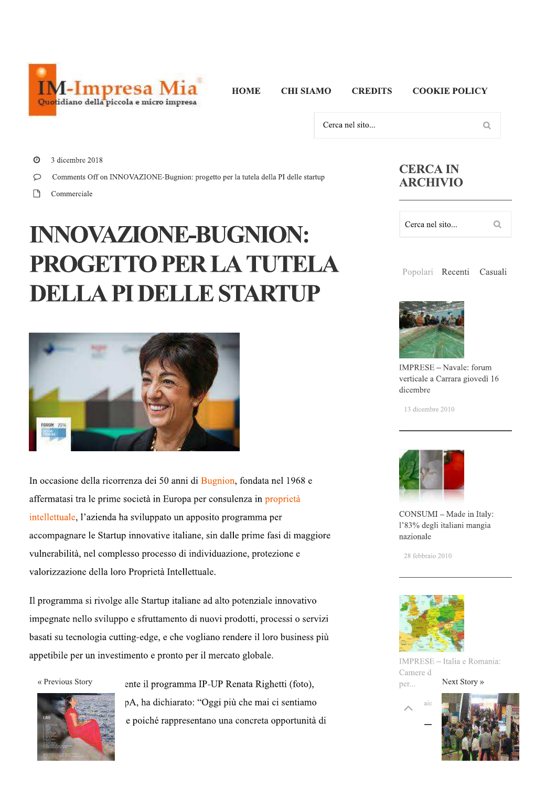

**HOME** 

**CHI SIAMO** 

**COOKIE POLICY** 

 $\alpha$ 

Cerca nel sito...

**CREDITS** 

 $\odot$ 3 dicembre 2018

 $\circ$ Comments Off on INNOVAZIONE-Bugnion: progetto per la tutela della PI delle startup

 $\Box$ Commerciale

## **INNOVAZIONE-BUGNION:** PROGETTO PER LA TUTELA **DELLA PI DELLE STARTUP**



In occasione della ricorrenza dei 50 anni di Bugnion, fondata nel 1968 e affermatasi tra le prime società in Europa per consulenza in proprietà intellettuale, l'azienda ha sviluppato un apposito programma per accompagnare le Startup innovative italiane, sin dalle prime fasi di maggiore vulnerabilità, nel complesso processo di individuazione, protezione e valorizzazione della loro Proprietà Intellettuale.

Il programma si rivolge alle Startup italiane ad alto potenziale innovativo impegnate nello sviluppo e sfruttamento di nuovi prodotti, processi o servizi basati su tecnologia cutting-edge, e che vogliano rendere il loro business più appetibile per un investimento e pronto per il mercato globale.

« Previous Story



ente il programma IP-UP Renata Righetti (foto), pA, ha dichiarato: "Oggi più che mai ci sentiamo e poiché rappresentano una concreta opportunità di

## **CERCA IN ARCHIVIO**

| Cerca nel sito |  |
|----------------|--|
|                |  |





IMPRESE - Navale: forum verticale a Carrara giovedì 16 dicembre

13 dicembre 2010



CONSUMI - Made in Italy: l'83% degli italiani mangia nazionale

28 febbraio 2010



IMPRESE - Italia e Romania: Camere d Next Story » per...